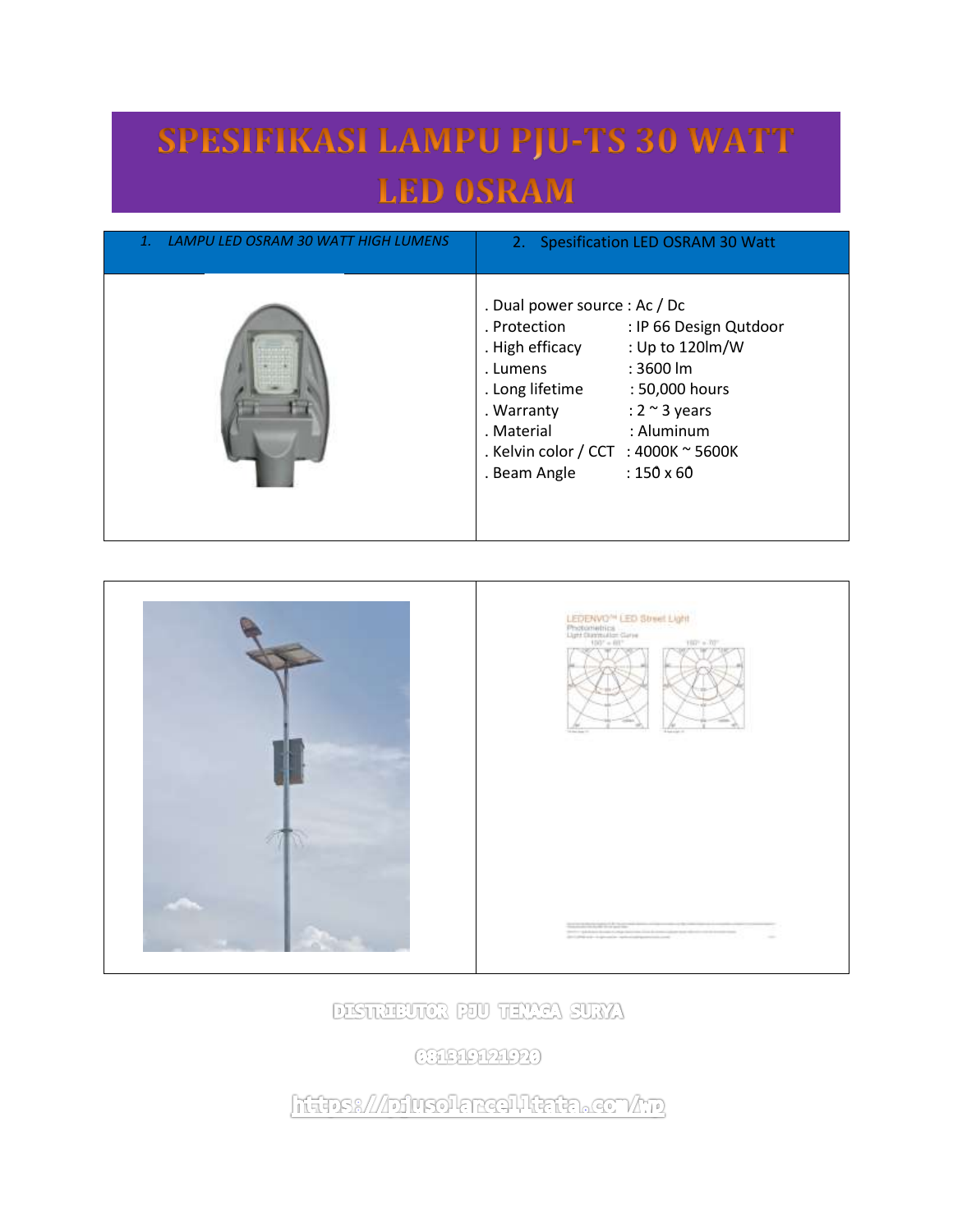## SPESIFIKASI LAMPU PJU-TS 30 WATT **LED OSRAM**

| 1. LAMPU LED OSRAM 30 WATT HIGH LUMENS | 2. Spesification LED OSRAM 30 Watt                                                                                                                                                                                                                                                                                                |
|----------------------------------------|-----------------------------------------------------------------------------------------------------------------------------------------------------------------------------------------------------------------------------------------------------------------------------------------------------------------------------------|
|                                        | . Dual power source : Ac / Dc<br>: IP 66 Design Qutdoor<br>. Protection<br>: Up to 120lm/W<br>. High efficacy<br>$: 3600$ lm<br>. Lumens<br>. Long lifetime<br>: 50,000 hours<br>: $2 \approx 3$ years<br>. Warranty<br>: Aluminum<br>. Material<br>. Kelvin color / CCT : 4000K $\sim$ 5600K<br>$:150 \times 60$<br>. Beam Angle |



DISTRIBUTER POU TEXAA SURYA

**CHEMPAPED** 

https:///pfusolarealltata.com/hp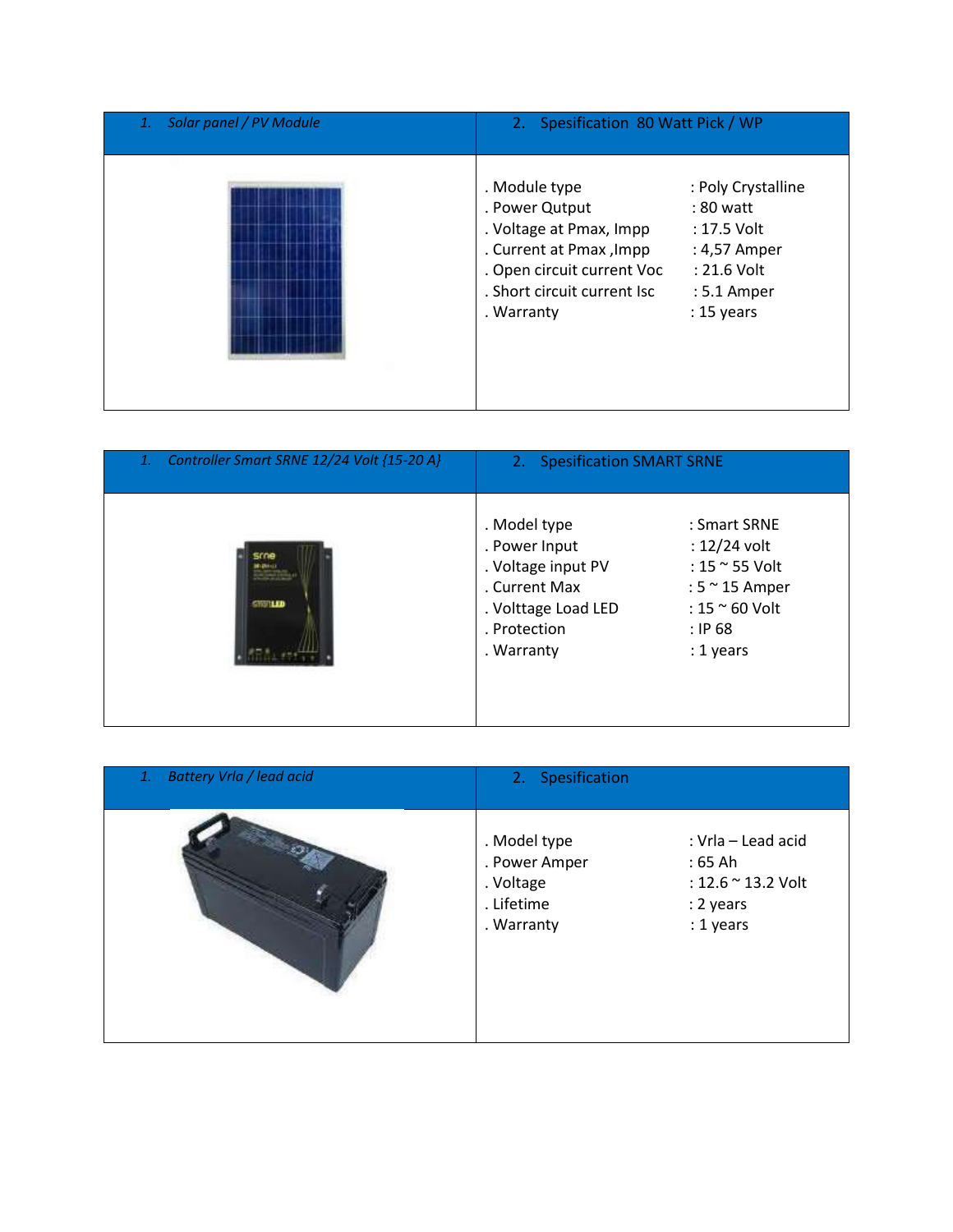| Solar panel / PV Module | 2. Spesification 80 Watt Pick / WP                                                                                                                                                                                                                                                   |  |
|-------------------------|--------------------------------------------------------------------------------------------------------------------------------------------------------------------------------------------------------------------------------------------------------------------------------------|--|
|                         | . Module type<br>: Poly Crystalline<br>. Power Qutput<br>: 80 watt<br>. Voltage at Pmax, Impp<br>$: 17.5$ Volt<br>. Current at Pmax, Impp<br>: 4,57 Amper<br>. Open circuit current Voc<br>$: 21.6$ Volt<br>. Short circuit current Isc<br>: 5.1 Amper<br>$: 15$ years<br>. Warranty |  |

| Controller Smart SRNE 12/24 Volt {15-20 A}<br>1. | 2. Spesification SMART SRNE                                                                                               |                                                                                                                                     |
|--------------------------------------------------|---------------------------------------------------------------------------------------------------------------------------|-------------------------------------------------------------------------------------------------------------------------------------|
| <b>STORIED</b>                                   | . Model type<br>. Power Input<br>. Voltage input PV<br>. Current Max<br>. Volttage Load LED<br>. Protection<br>. Warranty | : Smart SRNE<br>$: 12/24$ volt<br>: 15 $\approx$ 55 Volt<br>: $5 \approx 15$ Amper<br>: $15 \approx 60$ Volt<br>: IP68<br>: 1 years |

| <b>Battery Vrla / lead acid</b><br>1. | 2. Spesification                                                       |                                                                                |
|---------------------------------------|------------------------------------------------------------------------|--------------------------------------------------------------------------------|
|                                       | . Model type<br>. Power Amper<br>. Voltage<br>. Lifetime<br>. Warranty | : Vrla - Lead acid<br>$:65$ Ah<br>: 12.6 ~ 13.2 Volt<br>: 2 years<br>: 1 years |